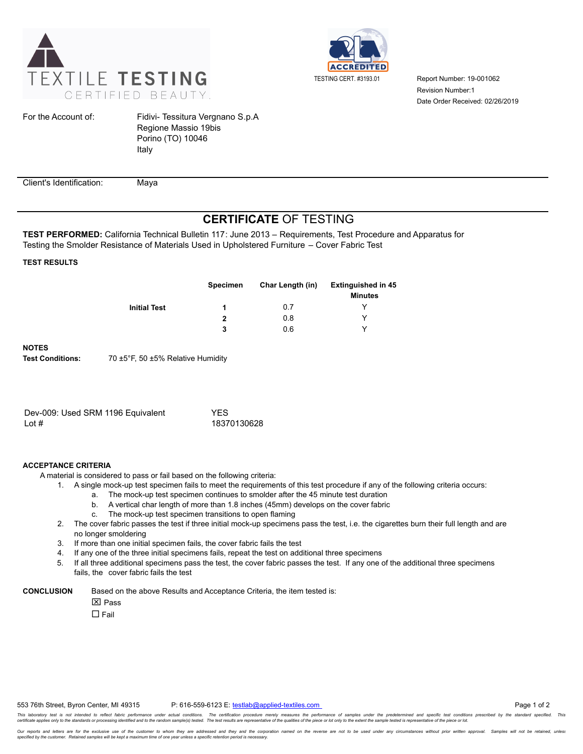



Report Number: 19-001062 Date Order Received: 02/26/2019 Revision Number:1

For the Account of:

Fidivi- Tessitura Vergnano S.p.A Regione Massio 19bis Porino (TO) 10046 Italy

Client's Identification: Maya

## **CERTIFICATE** OF TESTING

**TEST PERFORMED:** California Technical Bulletin 117: June 2013 – Requirements, Test Procedure and Apparatus for Testing the Smolder Resistance of Materials Used in Upholstered Furniture – Cover Fabric Test

**TEST RESULTS**

|   | Char Length (in) | <b>Extinguished in 45</b><br><b>Minutes</b> |
|---|------------------|---------------------------------------------|
|   | 0.7              |                                             |
| 2 | 0.8              | ◡                                           |
| 3 | 0.6              | ◡                                           |
|   | <b>Specimen</b>  |                                             |

**NOTES**

**Test Conditions:** 70 ±5°F, 50 ±5% Relative Humidity

| Dev-009: Used SRM 1196 Equivalent | <b>YFS</b>  |
|-----------------------------------|-------------|
| Lot $#$                           | 18370130628 |

## **ACCEPTANCE CRITERIA**

A material is considered to pass or fail based on the following criteria:

- 1. A single mock-up test specimen fails to meet the requirements of this test procedure if any of the following criteria occurs:
	- a. The mock-up test specimen continues to smolder after the 45 minute test duration
	- b. A vertical char length of more than 1.8 inches (45mm) develops on the cover fabric
	- c. The mock-up test specimen transitions to open flaming
- 2. The cover fabric passes the test if three initial mock-up specimens pass the test, i.e. the cigarettes burn their full length and are no longer smoldering
- 3. If more than one initial specimen fails, the cover fabric fails the test
- 4. If any one of the three initial specimens fails, repeat the test on additional three specimens
- 5. If all three additional specimens pass the test, the cover fabric passes the test. If any one of the additional three specimens fails, the cover fabric fails the test

**CONCLUSION** Based on the above Results and Acceptance Criteria, the item tested is:

**X** Pass

 $\Box$  Fail